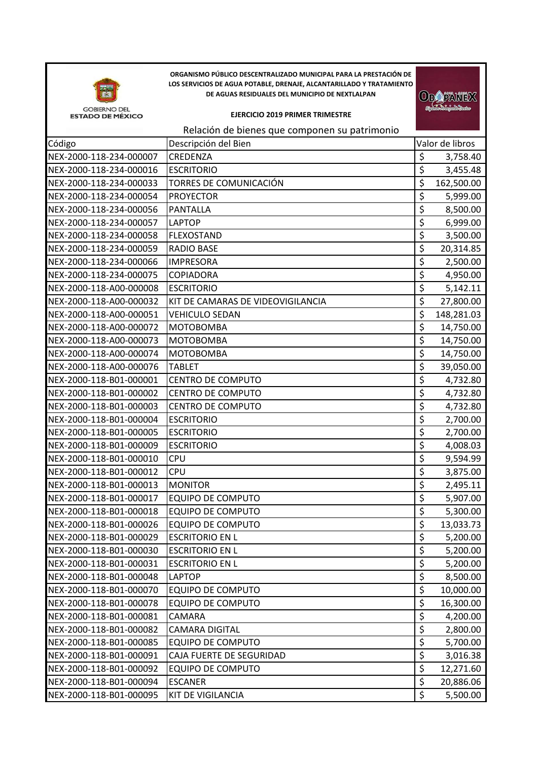

**ORGANISMO PÚBLICO DESCENTRALIZADO MUNICIPAL PARA LA PRESTACIÓN DE LOS SERVICIOS DE AGUA POTABLE, DRENAJE, ALCANTARILLADO Y TRATAMIENTO DE AGUAS RESIDUALES DEL MUNICIPIO DE NEXTLALPAN** 

## **EJERCICIO 2019 PRIMER TRIMESTRE**

**ODOPANEX** 

## Relación de bienes que componen su patrimonio

| Código                  | Descripción del Bien              |                                 | Valor de libros |
|-------------------------|-----------------------------------|---------------------------------|-----------------|
| NEX-2000-118-234-000007 | <b>CREDENZA</b>                   | \$                              | 3,758.40        |
| NEX-2000-118-234-000016 | <b>ESCRITORIO</b>                 | \$                              | 3,455.48        |
| NEX-2000-118-234-000033 | TORRES DE COMUNICACIÓN            | \$                              | 162,500.00      |
| NEX-2000-118-234-000054 | <b>PROYECTOR</b>                  | \$                              | 5,999.00        |
| NEX-2000-118-234-000056 | <b>PANTALLA</b>                   | \$                              | 8,500.00        |
| NEX-2000-118-234-000057 | LAPTOP                            | $\overline{\xi}$                | 6,999.00        |
| NEX-2000-118-234-000058 | <b>FLEXOSTAND</b>                 | \$                              | 3,500.00        |
| NEX-2000-118-234-000059 | <b>RADIO BASE</b>                 | \$                              | 20,314.85       |
| NEX-2000-118-234-000066 | <b>IMPRESORA</b>                  | \$                              | 2,500.00        |
| NEX-2000-118-234-000075 | <b>COPIADORA</b>                  | \$                              | 4,950.00        |
| NEX-2000-118-A00-000008 | <b>ESCRITORIO</b>                 | \$                              | 5,142.11        |
| NEX-2000-118-A00-000032 | KIT DE CAMARAS DE VIDEOVIGILANCIA | \$                              | 27,800.00       |
| NEX-2000-118-A00-000051 | <b>VEHICULO SEDAN</b>             | $\overline{\xi}$                | 148,281.03      |
| NEX-2000-118-A00-000072 | МОТОВОМВА                         | $\overline{\xi}$                | 14,750.00       |
| NEX-2000-118-A00-000073 | <b>MOTOBOMBA</b>                  | \$                              | 14,750.00       |
| NEX-2000-118-A00-000074 | МОТОВОМВА                         | \$                              | 14,750.00       |
| NEX-2000-118-A00-000076 | <b>TABLET</b>                     | \$                              | 39,050.00       |
| NEX-2000-118-B01-000001 | <b>CENTRO DE COMPUTO</b>          | $\overline{\xi}$                | 4,732.80        |
| NEX-2000-118-B01-000002 | <b>CENTRO DE COMPUTO</b>          | \$                              | 4,732.80        |
| NEX-2000-118-B01-000003 | <b>CENTRO DE COMPUTO</b>          | $\overline{\xi}$                | 4,732.80        |
| NEX-2000-118-B01-000004 | <b>ESCRITORIO</b>                 | $\overline{\xi}$                | 2,700.00        |
| NEX-2000-118-B01-000005 | <b>ESCRITORIO</b>                 | \$                              | 2,700.00        |
| NEX-2000-118-B01-000009 | <b>ESCRITORIO</b>                 | \$                              | 4,008.03        |
| NEX-2000-118-B01-000010 | CPU                               | \$                              | 9,594.99        |
| NEX-2000-118-B01-000012 | <b>CPU</b>                        | $\overline{\boldsymbol{\zeta}}$ | 3,875.00        |
| NEX-2000-118-B01-000013 | <b>MONITOR</b>                    | \$                              | 2,495.11        |
| NEX-2000-118-B01-000017 | <b>EQUIPO DE COMPUTO</b>          | \$                              | 5,907.00        |
| NEX-2000-118-B01-000018 | <b>EQUIPO DE COMPUTO</b>          | \$                              | 5,300.00        |
| NEX-2000-118-B01-000026 | <b>EQUIPO DE COMPUTO</b>          | \$                              | 13,033.73       |
| NEX-2000-118-B01-000029 | <b>ESCRITORIO EN L</b>            | Ś                               | 5,200.00        |
| NEX-2000-118-B01-000030 | <b>ESCRITORIO EN L</b>            | \$                              | 5,200.00        |
| NEX-2000-118-B01-000031 | <b>ESCRITORIO EN L</b>            | \$                              | 5,200.00        |
| NEX-2000-118-B01-000048 | <b>LAPTOP</b>                     | \$                              | 8,500.00        |
| NEX-2000-118-B01-000070 | <b>EQUIPO DE COMPUTO</b>          | \$                              | 10,000.00       |
| NEX-2000-118-B01-000078 | <b>EQUIPO DE COMPUTO</b>          | \$                              | 16,300.00       |
| NEX-2000-118-B01-000081 | CAMARA                            | \$                              | 4,200.00        |
| NEX-2000-118-B01-000082 | <b>CAMARA DIGITAL</b>             | $\overline{\varsigma}$          | 2,800.00        |
| NEX-2000-118-B01-000085 | <b>EQUIPO DE COMPUTO</b>          | \$                              | 5,700.00        |
| NEX-2000-118-B01-000091 | CAJA FUERTE DE SEGURIDAD          | $\overline{\xi}$                | 3,016.38        |
| NEX-2000-118-B01-000092 | <b>EQUIPO DE COMPUTO</b>          | \$                              | 12,271.60       |
| NEX-2000-118-B01-000094 | <b>ESCANER</b>                    | \$                              | 20,886.06       |
| NEX-2000-118-B01-000095 | <b>KIT DE VIGILANCIA</b>          | \$                              | 5,500.00        |